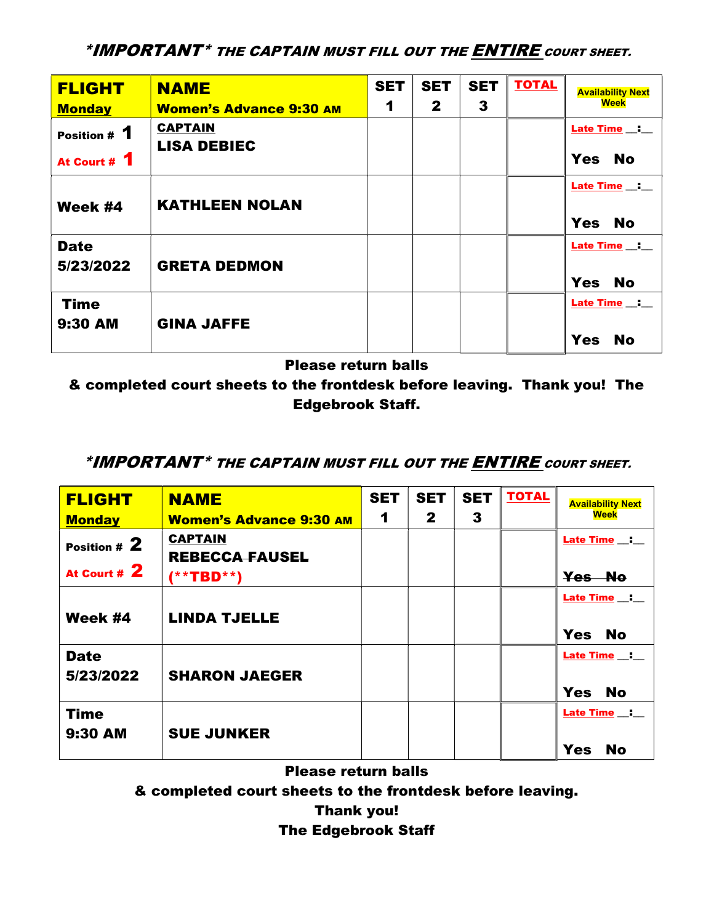\*IMPORTANT\* THE CAPTAIN MUST FILL OUT THE ENTIRE COURT SHEET.

| <b>FLIGHT</b><br><b>Monday</b> | <b>NAME</b><br><b>Women's Advance 9:30 AM</b> | <b>SET</b><br>1 | <b>SET</b><br>$\mathbf{2}$ | <b>SET</b><br>3 | <b>TOTAL</b> | <b>Availability Next</b><br><b>Week</b>    |
|--------------------------------|-----------------------------------------------|-----------------|----------------------------|-----------------|--------------|--------------------------------------------|
| Position # 1<br>At Court # 1   | <b>CAPTAIN</b><br><b>LISA DEBIEC</b>          |                 |                            |                 |              | Late Time _: __<br><b>Yes</b><br><b>No</b> |
| Week #4                        | <b>KATHLEEN NOLAN</b>                         |                 |                            |                 |              | Late Time __:<br><b>Yes</b><br><b>No</b>   |
| <b>Date</b><br>5/23/2022       | <b>GRETA DEDMON</b>                           |                 |                            |                 |              | Late Time _: __<br><b>Yes</b><br><b>No</b> |
| <b>Time</b><br>9:30 AM         | <b>GINA JAFFE</b>                             |                 |                            |                 |              | Late Time _: _<br><b>Yes</b><br><b>No</b>  |

Please return balls

& completed court sheets to the frontdesk before leaving. Thank you! The Edgebrook Staff.

## \*IMPORTANT\* THE CAPTAIN MUST FILL OUT THE ENTIRE COURT SHEET.

| <b>FLIGHT</b>            | <b>NAME</b>                             | <b>SET</b> | <b>SET</b>   | <b>SET</b> | <b>TOTAL</b> | <b>Availability Next</b> |
|--------------------------|-----------------------------------------|------------|--------------|------------|--------------|--------------------------|
| <b>Monday</b>            | <b>Women's Advance 9:30 AM</b>          | 1          | $\mathbf{2}$ | 3          |              | Week                     |
| Position # 2             | <b>CAPTAIN</b><br><b>REBECCA FAUSEL</b> |            |              |            |              | Late Time _:             |
| At Court # 2             | $(* * TBD * *)$                         |            |              |            |              | Yes No                   |
| Week #4                  | <b>LINDA TJELLE</b>                     |            |              |            |              | Late Time _: _           |
|                          |                                         |            |              |            |              | <b>Yes</b><br><b>No</b>  |
| <b>Date</b><br>5/23/2022 | <b>SHARON JAEGER</b>                    |            |              |            |              | Late Time _:             |
|                          |                                         |            |              |            |              | <b>Yes</b><br><b>No</b>  |
| <b>Time</b>              |                                         |            |              |            |              | <b>Late Time __: __</b>  |
| 9:30 AM                  | <b>SUE JUNKER</b>                       |            |              |            |              | <b>Yes</b><br><b>No</b>  |

Please return balls

& completed court sheets to the frontdesk before leaving.

Thank you!

## The Edgebrook Staff